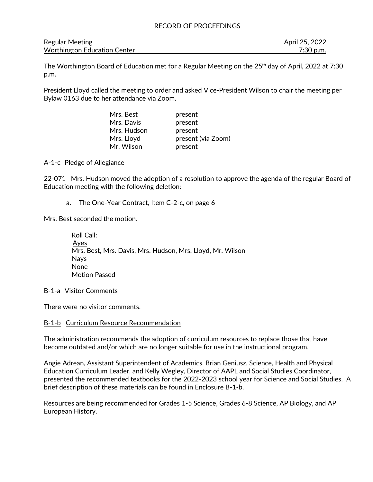| <b>Regular Meeting</b>              | April 25, 2022 |
|-------------------------------------|----------------|
| <b>Worthington Education Center</b> | 7:30 p.m.      |

The Worthington Board of Education met for a Regular Meeting on the 25<sup>th</sup> day of April, 2022 at 7:30 p.m.

President Lloyd called the meeting to order and asked Vice-President Wilson to chair the meeting per Bylaw 0163 due to her attendance via Zoom.

| Mrs. Best   | present            |
|-------------|--------------------|
| Mrs. Davis  | present            |
| Mrs. Hudson | present            |
| Mrs. Lloyd  | present (via Zoom) |
| Mr. Wilson  | present            |

#### A-1-c Pledge of Allegiance

22-071 Mrs. Hudson moved the adoption of a resolution to approve the agenda of the regular Board of Education meeting with the following deletion:

a. The One-Year Contract, Item C-2-c, on page 6

Mrs. Best seconded the motion.

 Roll Call: Ayes Mrs. Best, Mrs. Davis, Mrs. Hudson, Mrs. Lloyd, Mr. Wilson **Navs**  None Motion Passed

#### B-1-a Visitor Comments

There were no visitor comments.

#### B-1-b Curriculum Resource Recommendation

The administration recommends the adoption of curriculum resources to replace those that have become outdated and/or which are no longer suitable for use in the instructional program.

Angie Adrean, Assistant Superintendent of Academics, Brian Geniusz, Science, Health and Physical Education Curriculum Leader, and Kelly Wegley, Director of AAPL and Social Studies Coordinator, presented the recommended textbooks for the 2022-2023 school year for Science and Social Studies. A brief description of these materials can be found in Enclosure B-1-b.

Resources are being recommended for Grades 1-5 Science, Grades 6-8 Science, AP Biology, and AP European History.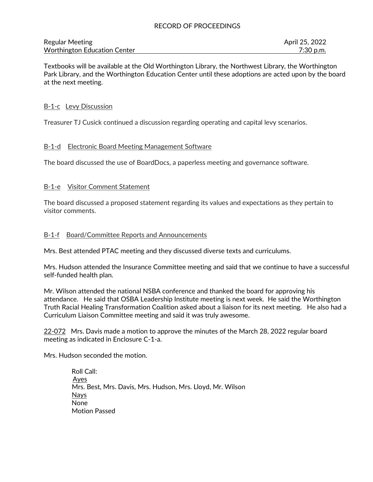| <b>Regular Meeting</b>              | April 25, 2022 |
|-------------------------------------|----------------|
| <b>Worthington Education Center</b> | 7:30 p.m.      |

Textbooks will be available at the Old Worthington Library, the Northwest Library, the Worthington Park Library, and the Worthington Education Center until these adoptions are acted upon by the board at the next meeting.

### B-1-c Levy Discussion

Treasurer TJ Cusick continued a discussion regarding operating and capital levy scenarios.

#### B-1-d Electronic Board Meeting Management Software

The board discussed the use of BoardDocs, a paperless meeting and governance software.

## B-1-e Visitor Comment Statement

The board discussed a proposed statement regarding its values and expectations as they pertain to visitor comments.

#### B-1-f Board/Committee Reports and Announcements

Mrs. Best attended PTAC meeting and they discussed diverse texts and curriculums.

Mrs. Hudson attended the Insurance Committee meeting and said that we continue to have a successful self-funded health plan.

Mr. Wilson attended the national NSBA conference and thanked the board for approving his attendance. He said that OSBA Leadership Institute meeting is next week. He said the Worthington Truth Racial Healing Transformation Coalition asked about a liaison for its next meeting. He also had a Curriculum Liaison Committee meeting and said it was truly awesome.

22-072 Mrs. Davis made a motion to approve the minutes of the March 28, 2022 regular board meeting as indicated in Enclosure C-1-a.

Mrs. Hudson seconded the motion.

 Roll Call: Ayes Mrs. Best, Mrs. Davis, Mrs. Hudson, Mrs. Lloyd, Mr. Wilson Nays None Motion Passed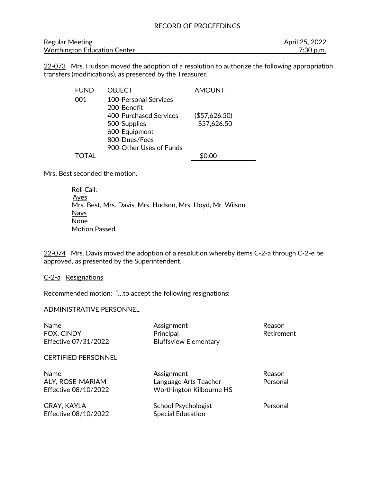| <b>Regular Meeting</b>              | April 25, 2022 |
|-------------------------------------|----------------|
| <b>Worthington Education Center</b> | $7:30$ p.m.    |

22-073 Mrs. Hudson moved the adoption of a resolution to authorize the following appropriation transfers (modifications), as presented by the Treasurer.

| <b>FUND</b> | OBJECT                        | <b>AMOUNT</b> |
|-------------|-------------------------------|---------------|
| 001         | <b>100-Personal Services</b>  |               |
|             | 200-Benefit                   |               |
|             | <b>400-Purchased Services</b> | (\$57,626.50) |
|             | 500-Supplies                  | \$57,626.50   |
|             | 600-Equipment                 |               |
|             | 800-Dues/Fees                 |               |
|             | 900-Other Uses of Funds       |               |
|             |                               |               |

Mrs. Best seconded the motion.

 Roll Call: Ayes Mrs. Best, Mrs. Davis, Mrs. Hudson, Mrs. Lloyd, Mr. Wilson Nays None Motion Passed

22-074 Mrs. Davis moved the adoption of a resolution whereby items C-2-a through C-2-e be approved, as presented by the Superintendent.

#### C-2-a Resignations

Recommended motion: "…to accept the following resignations:

#### ADMINISTRATIVE PERSONNEL

| Name                       | Assignment                   | Reason     |
|----------------------------|------------------------------|------------|
| FOX, CINDY                 | Principal                    | Retirement |
| Effective 07/31/2022       | <b>Bluffsview Elementary</b> |            |
| <b>CERTIFIED PERSONNEL</b> |                              |            |
| Name                       | <u>Assignment</u>            | Reason     |
| ALY, ROSE-MARIAM           | Language Arts Teacher        | Personal   |
| Effective 08/10/2022       | Worthington Kilbourne HS     |            |
| <b>GRAY, KAYLA</b>         | School Psychologist          | Personal   |
| Effective 08/10/2022       | <b>Special Education</b>     |            |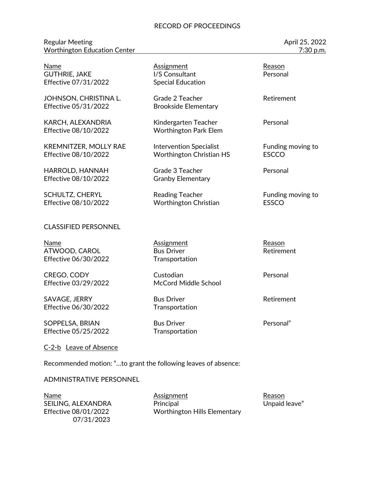#### Regular Meeting **April 25, 2022** Worthington Education Center 7:30 p.m.

| Name<br><b>GUTHRIE, JAKE</b><br>Effective 07/31/2022 | <b>Assignment</b><br>I/S Consultant<br><b>Special Education</b>   | Reason<br>Personal                |
|------------------------------------------------------|-------------------------------------------------------------------|-----------------------------------|
| JOHNSON, CHRISTINA L.<br>Effective 05/31/2022        | Grade 2 Teacher<br><b>Brookside Elementary</b>                    | Retirement                        |
| KARCH, ALEXANDRIA<br>Effective 08/10/2022            | Kindergarten Teacher<br><b>Worthington Park Elem</b>              | Personal                          |
| <b>KREMNITZER, MOLLY RAE</b><br>Effective 08/10/2022 | <b>Intervention Specialist</b><br><b>Worthington Christian HS</b> | Funding moving to<br><b>ESCCO</b> |
| HARROLD, HANNAH<br>Effective 08/10/2022              | Grade 3 Teacher<br><b>Granby Elementary</b>                       | Personal                          |
| <b>SCHULTZ, CHERYL</b><br>Effective 08/10/2022       | <b>Reading Teacher</b><br>Worthington Christian                   | Funding moving to<br><b>ESSCO</b> |
| <b>CLASSIFIED PERSONNEL</b>                          |                                                                   |                                   |
| <b>Name</b><br>ATWOOD, CAROL<br>Effective 06/30/2022 | <b>Assignment</b><br><b>Bus Driver</b><br>Transportation          | Reason<br>Retirement              |
| CREGO, CODY<br>Effective 03/29/2022                  | Custodian<br>McCord Middle School                                 | Personal                          |
| SAVAGE, JERRY<br>Effective 06/30/2022                | <b>Bus Driver</b><br>Transportation                               | Retirement                        |
| SOPPELSA, BRIAN<br>Effective 05/25/2022              | <b>Bus Driver</b><br>Transportation                               | Personal"                         |
| C-2-b Leave of Absence                               |                                                                   |                                   |

Recommended motion: "…to grant the following leaves of absence:

#### ADMINISTRATIVE PERSONNEL

SEILING, ALEXANDRA 07/31/2023

Mame Mame Assignment<br>
SEILING, ALEXANDRA Principal Principal Change Management Change (Reason Management)<br>
Reason Change Assignment<br>
Principal Change (Reason Management) Effective 08/01/2022 Worthington Hills Elementary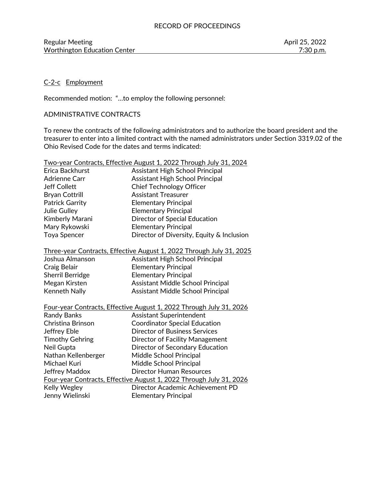# C-2-c Employment

Recommended motion: "…to employ the following personnel:

# ADMINISTRATIVE CONTRACTS

To renew the contracts of the following administrators and to authorize the board president and the treasurer to enter into a limited contract with the named administrators under Section 3319.02 of the Ohio Revised Code for the dates and terms indicated:

|                                                                      | <u> Two-year Contracts, Effective August 1, 2022 Through July 31, 2024</u> |  |
|----------------------------------------------------------------------|----------------------------------------------------------------------------|--|
| Erica Backhurst                                                      | <b>Assistant High School Principal</b>                                     |  |
| Adrienne Carr                                                        | <b>Assistant High School Principal</b>                                     |  |
| <b>Jeff Collett</b>                                                  | <b>Chief Technology Officer</b>                                            |  |
| <b>Bryan Cottrill</b>                                                | <b>Assistant Treasurer</b>                                                 |  |
| Patrick Garrity                                                      | <b>Elementary Principal</b>                                                |  |
| <b>Julie Gulley</b>                                                  | <b>Elementary Principal</b>                                                |  |
| Kimberly Marani                                                      | Director of Special Education                                              |  |
| Mary Rykowski                                                        | <b>Elementary Principal</b>                                                |  |
| Toya Spencer                                                         | Director of Diversity, Equity & Inclusion                                  |  |
| Three-year Contracts, Effective August 1, 2022 Through July 31, 2025 |                                                                            |  |
| Joshua Almanson                                                      | Assistant High School Principal                                            |  |
| Craig Belair                                                         | <b>Elementary Principal</b>                                                |  |
| <b>Sherril Berridge</b>                                              | <b>Elementary Principal</b>                                                |  |
| Megan Kirsten                                                        | Assistant Middle School Principal                                          |  |
| Kenneth Nally                                                        | Assistant Middle School Principal                                          |  |
|                                                                      | Four-year Contracts, Effective August 1, 2022 Through July 31, 2026        |  |
| <b>Randy Banks</b>                                                   | Assistant Superintendent                                                   |  |
| Christina Brinson                                                    | <b>Coordinator Special Education</b>                                       |  |
| Jeffrey Eble                                                         | <b>Director of Business Services</b>                                       |  |
| <b>Timothy Gehring</b>                                               | Director of Facility Management                                            |  |
| Neil Gupta                                                           | Director of Secondary Education                                            |  |
| Nathan Kellenberger                                                  | Middle School Principal                                                    |  |
| Michael Kuri                                                         | Middle School Principal                                                    |  |
| <b>Jeffrey Maddox</b>                                                | <b>Director Human Resources</b>                                            |  |
|                                                                      | Four-year Contracts, Effective August 1, 2022 Through July 31, 2026        |  |
| Kelly Wegley                                                         | Director Academic Achievement PD                                           |  |
| Jenny Wielinski                                                      | <b>Elementary Principal</b>                                                |  |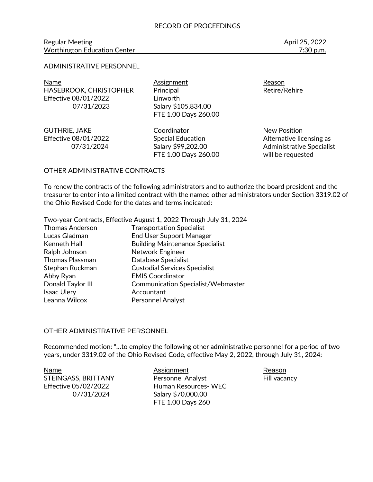#### Regular Meeting April 25, 2022 Worthington Education Center **7:30 p.m.** 7:30 p.m.

#### ADMINISTRATIVE PERSONNEL

Name **Assignment** Assignment Reason HASEBROOK, CHRISTOPHER Principal Principal Retire/Rehire Effective 08/01/2022 Linworth 07/31/2023 Salary \$105,834.00

FTE 1.00 Days 260.00

GUTHRIE, JAKE Coordinator Coordinator New Position FTE 1.00 Days 260.00 will be requested

Effective 08/01/2022 Special Education **Alternative licensing as** 07/31/2024 Salary \$99,202.00 Administrative Specialist

#### OTHER ADMINISTRATIVE CONTRACTS

To renew the contracts of the following administrators and to authorize the board president and the treasurer to enter into a limited contract with the named other administrators under Section 3319.02 of the Ohio Revised Code for the dates and terms indicated:

#### Two-year Contracts, Effective August 1, 2022 Through July 31, 2024

| <b>Thomas Anderson</b> | <b>Transportation Specialist</b>          |
|------------------------|-------------------------------------------|
| Lucas Gladman          | <b>End User Support Manager</b>           |
| Kenneth Hall           | <b>Building Maintenance Specialist</b>    |
| Ralph Johnson          | Network Engineer                          |
| <b>Thomas Plassman</b> | Database Specialist                       |
| Stephan Ruckman        | <b>Custodial Services Specialist</b>      |
| Abby Ryan              | <b>EMIS Coordinator</b>                   |
| Donald Taylor III      | <b>Communication Specialist/Webmaster</b> |
| <b>Isaac Ulery</b>     | Accountant                                |
| Leanna Wilcox          | Personnel Analyst                         |

#### OTHER ADMINISTRATIVE PERSONNEL

Recommended motion: "…to employ the following other administrative personnel for a period of two years, under 3319.02 of the Ohio Revised Code, effective May 2, 2022, through July 31, 2024:

Name **Assignment** Assignment Reason STEINGASS, BRITTANY Personnel Analyst Fill vacancy Effective 05/02/2022 Human Resources- WEC 07/31/2024 Salary \$70,000.00 FTE 1.00 Days 260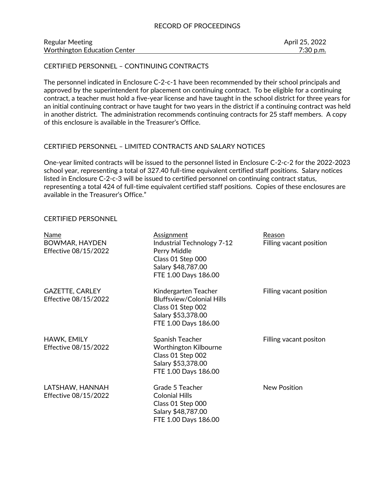| <b>Regular Meeting</b>       | April 25, 2022 |
|------------------------------|----------------|
| Worthington Education Center | 7:30 p.m.      |

CERTIFIED PERSONNEL – CONTINUING CONTRACTS

The personnel indicated in Enclosure C-2-c-1 have been recommended by their school principals and approved by the superintendent for placement on continuing contract. To be eligible for a continuing contract, a teacher must hold a five-year license and have taught in the school district for three years for an initial continuing contract or have taught for two years in the district if a continuing contract was held in another district. The administration recommends continuing contracts for 25 staff members. A copy of this enclosure is available in the Treasurer's Office.

#### CERTIFIED PERSONNEL – LIMITED CONTRACTS AND SALARY NOTICES

One-year limited contracts will be issued to the personnel listed in Enclosure C-2-c-2 for the 2022-2023 school year, representing a total of 327.40 full-time equivalent certified staff positions. Salary notices listed in Enclosure C-2-c-3 will be issued to certified personnel on continuing contract status, representing a total 424 of full-time equivalent certified staff positions. Copies of these enclosures are available in the Treasurer's Office."

#### CERTIFIED PERSONNEL

| <b>Name</b><br>BOWMAR, HAYDEN<br>Effective 08/15/2022 | Assignment<br>Industrial Technology 7-12<br>Perry Middle<br>Class 01 Step 000<br>Salary \$48,787.00<br>FTE 1.00 Days 186.00 | Reason<br>Filling vacant position |
|-------------------------------------------------------|-----------------------------------------------------------------------------------------------------------------------------|-----------------------------------|
| <b>GAZETTE, CARLEY</b><br>Effective 08/15/2022        | Kindergarten Teacher<br><b>Bluffsview/Colonial Hills</b><br>Class 01 Step 002<br>Salary \$53,378.00<br>FTE 1.00 Days 186.00 | Filling vacant position           |
| HAWK, EMILY<br>Effective 08/15/2022                   | Spanish Teacher<br><b>Worthington Kilbourne</b><br>Class 01 Step 002<br>Salary \$53,378.00<br>FTE 1.00 Days 186.00          | Filling vacant positon            |
| LATSHAW, HANNAH<br>Effective 08/15/2022               | Grade 5 Teacher<br><b>Colonial Hills</b><br>Class 01 Step 000<br>Salary \$48,787.00<br>FTE 1.00 Days 186.00                 | <b>New Position</b>               |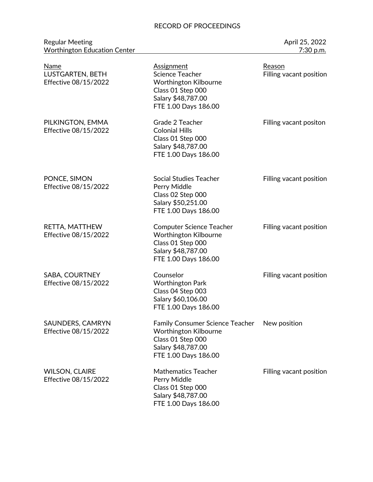Regular Meeting April 25, 2022 and the United States of the April 25, 2022 Worthington Education Center 7:30 p.m.

| Name<br>LUSTGARTEN, BETH<br>Effective 08/15/2022 | <b>Assignment</b><br>Science Teacher<br>Worthington Kilbourne<br>Class 01 Step 000<br>Salary \$48,787.00<br>FTE 1.00 Days 186.00          | Reason<br>Filling vacant position |
|--------------------------------------------------|-------------------------------------------------------------------------------------------------------------------------------------------|-----------------------------------|
| PILKINGTON, EMMA<br>Effective 08/15/2022         | Grade 2 Teacher<br><b>Colonial Hills</b><br>Class 01 Step 000<br>Salary \$48,787.00<br>FTE 1.00 Days 186.00                               | Filling vacant positon            |
| PONCE, SIMON<br>Effective 08/15/2022             | <b>Social Studies Teacher</b><br>Perry Middle<br>Class 02 Step 000<br>Salary \$50,251.00<br>FTE 1.00 Days 186.00                          | Filling vacant position           |
| RETTA, MATTHEW<br>Effective 08/15/2022           | <b>Computer Science Teacher</b><br><b>Worthington Kilbourne</b><br>Class 01 Step 000<br>Salary \$48,787.00<br>FTE 1.00 Days 186.00        | Filling vacant position           |
| SABA, COURTNEY<br>Effective 08/15/2022           | Counselor<br><b>Worthington Park</b><br>Class 04 Step 003<br>Salary \$60,106.00<br>FTE 1.00 Days 186.00                                   | Filling vacant position           |
| SAUNDERS, CAMRYN<br>Effective 08/15/2022         | <b>Family Consumer Science Teacher</b><br><b>Worthington Kilbourne</b><br>Class 01 Step 000<br>Salary \$48,787.00<br>FTE 1.00 Days 186.00 | New position                      |
| <b>WILSON, CLAIRE</b><br>Effective 08/15/2022    | <b>Mathematics Teacher</b><br>Perry Middle<br>Class 01 Step 000<br>Salary \$48,787.00<br>FTE 1.00 Days 186.00                             | Filling vacant position           |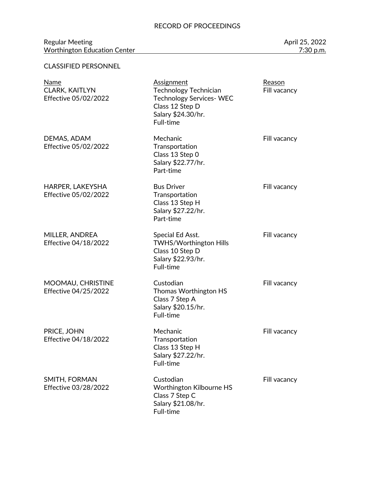#### Regular Meeting April 25, 2022 and the United States of the April 25, 2022 Worthington Education Center 7:30 p.m.

# CLASSIFIED PERSONNEL

| <b>Name</b><br><b>CLARK, KAITLYN</b><br>Effective 05/02/2022 | <b>Assignment</b><br><b>Technology Technician</b><br><b>Technology Services-WEC</b><br>Class 12 Step D<br>Salary \$24.30/hr.<br>Full-time | Reason<br>Fill vacancy |
|--------------------------------------------------------------|-------------------------------------------------------------------------------------------------------------------------------------------|------------------------|
| DEMAS, ADAM<br>Effective 05/02/2022                          | Mechanic<br>Transportation<br>Class 13 Step 0<br>Salary \$22.77/hr.<br>Part-time                                                          | Fill vacancy           |
| HARPER, LAKEYSHA<br>Effective 05/02/2022                     | <b>Bus Driver</b><br>Transportation<br>Class 13 Step H<br>Salary \$27.22/hr.<br>Part-time                                                 | Fill vacancy           |
| MILLER, ANDREA<br>Effective 04/18/2022                       | Special Ed Asst.<br>TWHS/Worthington Hills<br>Class 10 Step D<br>Salary \$22.93/hr.<br>Full-time                                          | Fill vacancy           |
| MOOMAU, CHRISTINE<br>Effective 04/25/2022                    | Custodian<br>Thomas Worthington HS<br>Class 7 Step A<br>Salary \$20.15/hr.<br>Full-time                                                   | Fill vacancy           |
| PRICE, JOHN<br>Effective 04/18/2022                          | Mechanic<br>Transportation<br>Class 13 Step H<br>Salary \$27.22/hr.<br>Full-time                                                          | Fill vacancy           |
| SMITH, FORMAN<br>Effective 03/28/2022                        | Custodian<br>Worthington Kilbourne HS<br>Class 7 Step C<br>Salary \$21.08/hr.<br>Full-time                                                | Fill vacancy           |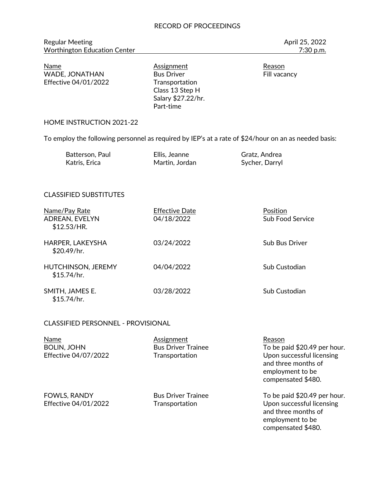Regular Meeting **April 25, 2022** Worthington Education Center **7:30 p.m.** 7:30 p.m.

Name Mame Assignment Assignment Reason<br>
WADE, JONATHAN Bus Driver Bust Reason WADE, JONATHAN Bus Driver **Fill vacancy** Effective 04/01/2022 Transportation

Class 13 Step H Salary \$27.22/hr. Part-time

#### HOME INSTRUCTION 2021-22

To employ the following personnel as required by IEP's at a rate of \$24/hour on an as needed basis:

| Batterson, Paul | Ellis, Jeanne  | Gratz, Andrea  |
|-----------------|----------------|----------------|
| Katris, Erica   | Martin, Jordan | Sycher, Darryl |

# CLASSIFIED SUBSTITUTES

| Name/Pay Rate<br>ADREAN, EVELYN<br>\$12.53/HR. | <b>Effective Date</b><br>04/18/2022 | Position<br><b>Sub Food Service</b> |
|------------------------------------------------|-------------------------------------|-------------------------------------|
| HARPER, LAKEYSHA<br>\$20.49/hr.                | 03/24/2022                          | <b>Sub Bus Driver</b>               |
| <b>HUTCHINSON, JEREMY</b><br>\$15.74/hr.       | 04/04/2022                          | Sub Custodian                       |
| SMITH, JAMES E.<br>\$15.74/hr.                 | 03/28/2022                          | <b>Sub Custodian</b>                |

#### CLASSIFIED PERSONNEL - PROVISIONAL

| Name                                 | Assignment                                  | Reason                                                                                                                     |
|--------------------------------------|---------------------------------------------|----------------------------------------------------------------------------------------------------------------------------|
| <b>BOLIN, JOHN</b>                   | <b>Bus Driver Trainee</b>                   | To be paid \$20.49 per hour.                                                                                               |
| Effective 04/07/2022                 | Transportation                              | Upon successful licensing<br>and three months of<br>employment to be<br>compensated \$480.                                 |
| FOWLS, RANDY<br>Effective 04/01/2022 | <b>Bus Driver Trainee</b><br>Transportation | To be paid \$20.49 per hour.<br>Upon successful licensing<br>and three months of<br>employment to be<br>compensated \$480. |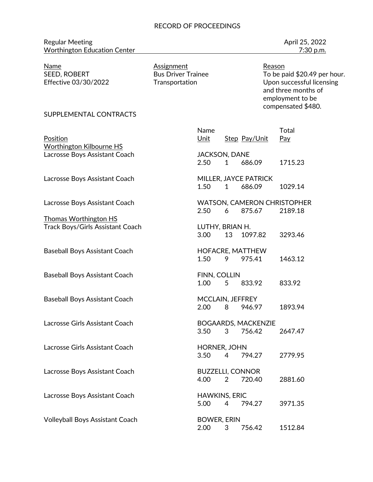| <b>Regular Meeting</b>              | April 25, 2022 |
|-------------------------------------|----------------|
| <b>Worthington Education Center</b> | 7:30 p.m.      |

April 25, 2022

Name Assignment Reason

To be paid \$20.49 per hour. Effective 03/30/2022 Transportation Upon successful licensing and three months of employment to be compensated \$480.

#### SUPPLEMENTAL CONTRACTS

| Position<br><b>Worthington Kilbourne HS</b>               | Name<br>Unit                    |                | Step Pay/Unit                                | Total<br>Pay |
|-----------------------------------------------------------|---------------------------------|----------------|----------------------------------------------|--------------|
| Lacrosse Boys Assistant Coach                             | <b>JACKSON, DANE</b><br>2.50    | $\mathbf{1}$   | 686.09                                       | 1715.23      |
| Lacrosse Boys Assistant Coach                             | 1.50                            | $\mathbf{1}$   | MILLER, JAYCE PATRICK<br>686.09              | 1029.14      |
| Lacrosse Boys Assistant Coach                             | 2.50                            | 6              | <b>WATSON, CAMERON CHRISTOPHER</b><br>875.67 | 2189.18      |
| Thomas Worthington HS<br>Track Boys/Girls Assistant Coach | LUTHY, BRIAN H.<br>3.00         | 13             | 1097.82                                      | 3293.46      |
| <b>Baseball Boys Assistant Coach</b>                      | 1.50                            | 9              | HOFACRE, MATTHEW<br>975.41                   | 1463.12      |
| <b>Baseball Boys Assistant Coach</b>                      | FINN, COLLIN<br>1.00            | 5              | 833.92                                       | 833.92       |
| <b>Baseball Boys Assistant Coach</b>                      | MCCLAIN, JEFFREY<br>2.00        | 8              | 946.97                                       | 1893.94      |
| Lacrosse Girls Assistant Coach                            | 3.50                            | 3              | <b>BOGAARDS, MACKENZIE</b><br>756.42         | 2647.47      |
| Lacrosse Girls Assistant Coach                            | HORNER, JOHN<br>3.50            | $\overline{4}$ | 794.27                                       | 2779.95      |
| Lacrosse Boys Assistant Coach                             | <b>BUZZELLI, CONNOR</b><br>4.00 | $\overline{2}$ | 720.40                                       | 2881.60      |
| Lacrosse Boys Assistant Coach                             | <b>HAWKINS, ERIC</b><br>5.00    | $\overline{4}$ | 794.27                                       | 3971.35      |
| <b>Volleyball Boys Assistant Coach</b>                    | <b>BOWER, ERIN</b><br>2.00      | 3              | 756.42                                       | 1512.84      |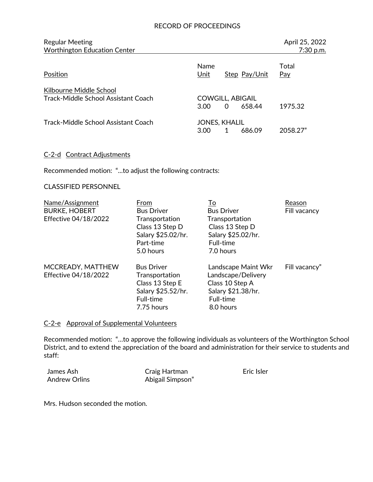| <b>Regular Meeting</b><br><b>Worthington Education Center</b>  |                                 |   |               | April 25, 2022<br>7:30 p.m. |
|----------------------------------------------------------------|---------------------------------|---|---------------|-----------------------------|
| Position                                                       | <b>Name</b><br>Unit             |   | Step Pay/Unit | Total<br>Pay                |
| Kilbourne Middle School<br>Track-Middle School Assistant Coach | <b>COWGILL, ABIGAIL</b><br>3.00 | 0 | 658.44        | 1975.32                     |
| Track-Middle School Assistant Coach                            | <b>JONES, KHALIL</b><br>3.00    |   | 686.09        | 2058.27"                    |

#### C-2-d Contract Adjustments

Recommended motion: "...to adjust the following contracts:

#### CLASSIFIED PERSONNEL

| Name/Assignment<br><b>BURKE, HOBERT</b><br>Effective 04/18/2022 | From<br><b>Bus Driver</b><br>Transportation<br>Class 13 Step D<br>Salary \$25.02/hr.<br>Part-time<br>5.0 hours | To<br><b>Bus Driver</b><br>Transportation<br>Class 13 Step D<br>Salary \$25.02/hr.<br>Full-time<br>7.0 hours | Reason<br>Fill vacancy |
|-----------------------------------------------------------------|----------------------------------------------------------------------------------------------------------------|--------------------------------------------------------------------------------------------------------------|------------------------|
| MCCREADY, MATTHEW<br><b>Effective 04/18/2022</b>                | <b>Bus Driver</b><br>Transportation<br>Class 13 Step E<br>Salary \$25.52/hr.<br>Full-time<br>7.75 hours        | Landscape Maint Wkr<br>Landscape/Delivery<br>Class 10 Step A<br>Salary \$21.38/hr.<br>Full-time<br>8.0 hours | Fill vacancy"          |

#### C-2-e Approval of Supplemental Volunteers

Recommended motion: "…to approve the following individuals as volunteers of the Worthington School District, and to extend the appreciation of the board and administration for their service to students and staff:

| James Ash            | Craig Hartman    | Eric Isler |
|----------------------|------------------|------------|
| <b>Andrew Orlins</b> | Abigail Simpson" |            |

Mrs. Hudson seconded the motion.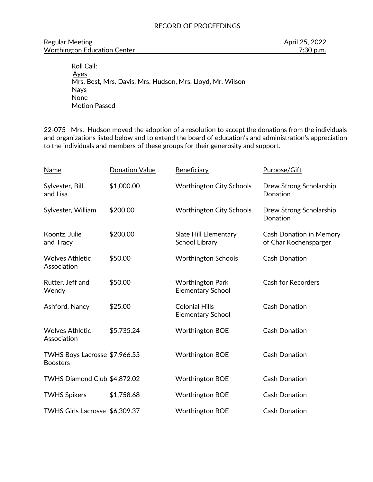#### Regular Meeting **April 25, 2022** Worthington Education Center **7:30 p.m.** 7:30 p.m.

 Roll Call: Ayes Mrs. Best, Mrs. Davis, Mrs. Hudson, Mrs. Lloyd, Mr. Wilson Nays None Motion Passed

22-075 Mrs. Hudson moved the adoption of a resolution to accept the donations from the individuals and organizations listed below and to extend the board of education's and administration's appreciation to the individuals and members of these groups for their generosity and support.

| <b>Name</b>                                      | <b>Donation Value</b> | Beneficiary                                         | Purpose/Gift                                            |
|--------------------------------------------------|-----------------------|-----------------------------------------------------|---------------------------------------------------------|
| Sylvester, Bill<br>and Lisa                      | \$1,000.00            | <b>Worthington City Schools</b>                     | Drew Strong Scholarship<br>Donation                     |
| Sylvester, William                               | \$200.00              | <b>Worthington City Schools</b>                     | Drew Strong Scholarship<br>Donation                     |
| Koontz, Julie<br>and Tracy                       | \$200.00              | Slate Hill Elementary<br><b>School Library</b>      | <b>Cash Donation in Memory</b><br>of Char Kochensparger |
| <b>Wolves Athletic</b><br>Association            | \$50.00               | <b>Worthington Schools</b>                          | <b>Cash Donation</b>                                    |
| Rutter, Jeff and<br>Wendy                        | \$50.00               | <b>Worthington Park</b><br><b>Elementary School</b> | <b>Cash for Recorders</b>                               |
| Ashford, Nancy                                   | \$25.00               | <b>Colonial Hills</b><br><b>Elementary School</b>   | <b>Cash Donation</b>                                    |
| <b>Wolves Athletic</b><br>Association            | \$5,735.24            | <b>Worthington BOE</b>                              | <b>Cash Donation</b>                                    |
| TWHS Boys Lacrosse \$7,966.55<br><b>Boosters</b> |                       | <b>Worthington BOE</b>                              | <b>Cash Donation</b>                                    |
| TWHS Diamond Club \$4,872.02                     |                       | <b>Worthington BOE</b>                              | <b>Cash Donation</b>                                    |
| <b>TWHS Spikers</b>                              | \$1,758.68            | <b>Worthington BOE</b>                              | <b>Cash Donation</b>                                    |
| TWHS Girls Lacrosse \$6,309.37                   |                       | <b>Worthington BOE</b>                              | <b>Cash Donation</b>                                    |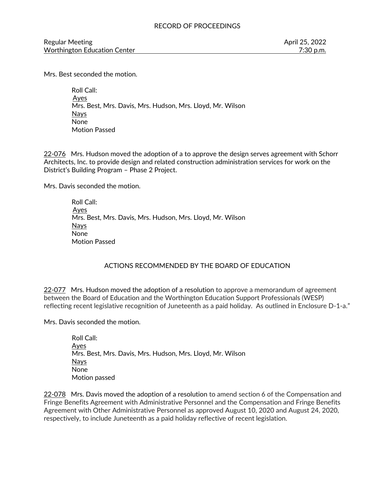Mrs. Best seconded the motion.

 Roll Call: Ayes Mrs. Best, Mrs. Davis, Mrs. Hudson, Mrs. Lloyd, Mr. Wilson Nays None Motion Passed

22-076 Mrs. Hudson moved the adoption of a to approve the design serves agreement with Schorr Architects, Inc. to provide design and related construction administration services for work on the District's Building Program – Phase 2 Project.

Mrs. Davis seconded the motion.

 Roll Call: Ayes Mrs. Best, Mrs. Davis, Mrs. Hudson, Mrs. Lloyd, Mr. Wilson Nays None Motion Passed

# ACTIONS RECOMMENDED BY THE BOARD OF EDUCATION

22-077 Mrs. Hudson moved the adoption of a resolution to approve a memorandum of agreement between the Board of Education and the Worthington Education Support Professionals (WESP) reflecting recent legislative recognition of Juneteenth as a paid holiday. As outlined in Enclosure D-1-a."

Mrs. Davis seconded the motion.

Roll Call: Ayes Mrs. Best, Mrs. Davis, Mrs. Hudson, Mrs. Lloyd, Mr. Wilson Nays None Motion passed

22-078 Mrs. Davis moved the adoption of a resolution to amend section 6 of the Compensation and Fringe Benefits Agreement with Administrative Personnel and the Compensation and Fringe Benefits Agreement with Other Administrative Personnel as approved August 10, 2020 and August 24, 2020, respectively, to include Juneteenth as a paid holiday reflective of recent legislation.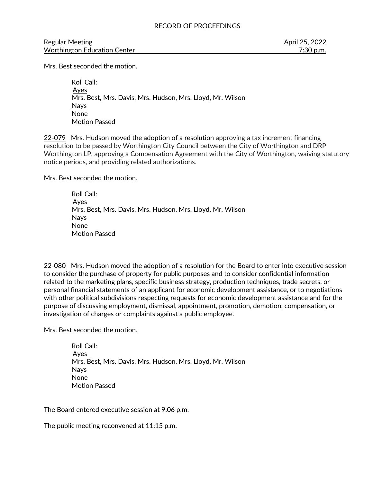Regular Meeting April 25, 2022 Worthington Education Center **7:30 p.m.** 7:30 p.m.

Mrs. Best seconded the motion.

 Roll Call: Ayes Mrs. Best, Mrs. Davis, Mrs. Hudson, Mrs. Lloyd, Mr. Wilson Nays None Motion Passed

22-079 Mrs. Hudson moved the adoption of a resolution approving a tax increment financing resolution to be passed by Worthington City Council between the City of Worthington and DRP Worthington LP, approving a Compensation Agreement with the City of Worthington, waiving statutory notice periods, and providing related authorizations.

Mrs. Best seconded the motion.

 Roll Call: Ayes Mrs. Best, Mrs. Davis, Mrs. Hudson, Mrs. Lloyd, Mr. Wilson Nays None Motion Passed

22-080 Mrs. Hudson moved the adoption of a resolution for the Board to enter into executive session to consider the purchase of property for public purposes and to consider confidential information related to the marketing plans, specific business strategy, production techniques, trade secrets, or personal financial statements of an applicant for economic development assistance, or to negotiations with other political subdivisions respecting requests for economic development assistance and for the purpose of discussing employment, dismissal, appointment, promotion, demotion, compensation, or investigation of charges or complaints against a public employee.

Mrs. Best seconded the motion.

 Roll Call: Ayes Mrs. Best, Mrs. Davis, Mrs. Hudson, Mrs. Lloyd, Mr. Wilson Nays None Motion Passed

The Board entered executive session at 9:06 p.m.

The public meeting reconvened at 11:15 p.m.